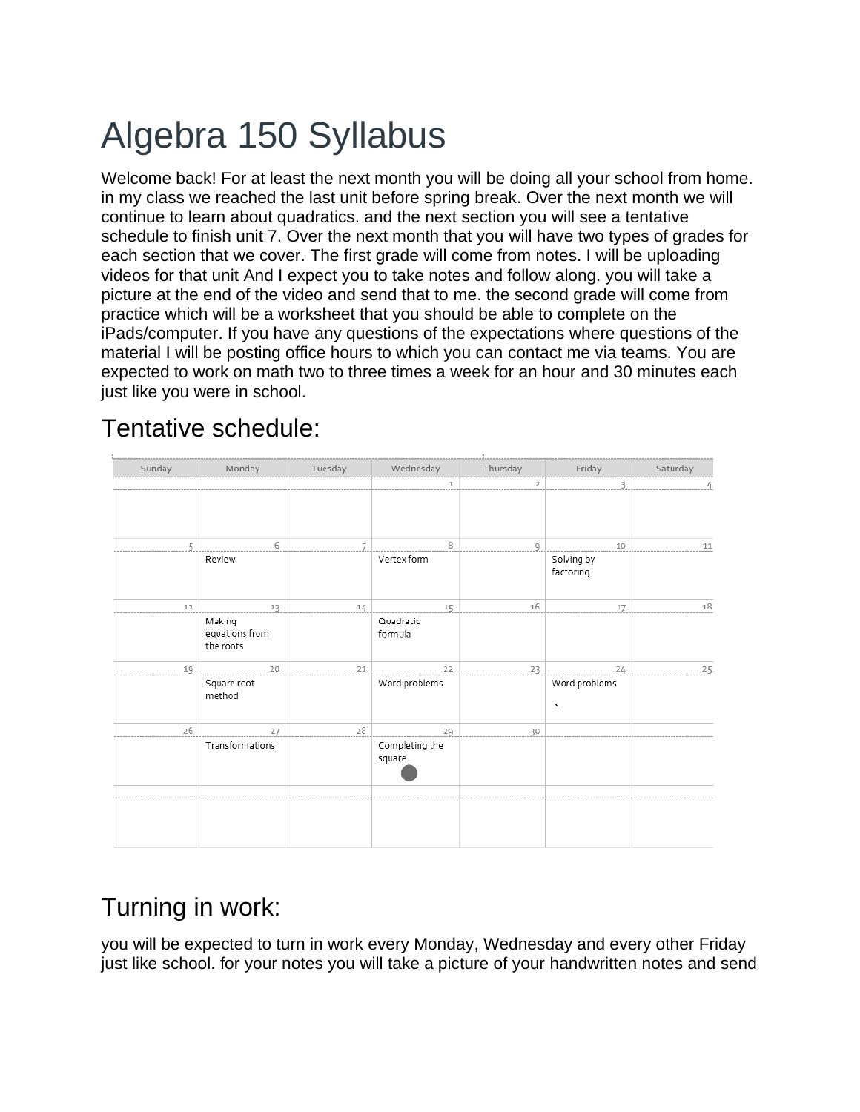## Algebra 150 Syllabus

Welcome back! For at least the next month you will be doing all your school from home. in my class we reached the last unit before spring break. Over the next month we will continue to learn about quadratics. and the next section you will see a tentative schedule to finish unit 7. Over the next month that you will have two types of grades for each section that we cover. The first grade will come from notes. I will be uploading videos for that unit And I expect you to take notes and follow along. you will take a picture at the end of the video and send that to me. the second grade will come from practice which will be a worksheet that you should be able to complete on the iPads/computer. If you have any questions of the expectations where questions of the material I will be posting office hours to which you can contact me via teams. You are expected to work on math two to three times a week for an hour and 30 minutes each just like you were in school.

## Tuesday Saturdav Sunday Monday Wednesday Thursday Friday  $\mathbbm{1}$  $\overline{z}$ 3 4 6 8  $10$  $11$  $\mathbb{Z}$ 7  $\overline{9}$ Vertex form Solving by Review factoring  $12$  $13$  $14$ 15 16 17 18 Making Quadratic equations from formula the roots 19 20  $21$  $22$  $23$  $24$ 25 Square root Word problems Word problems method 26 27 28  $29$ 30 Transformations Completing the square

## Tentative schedule:

## Turning in work:

you will be expected to turn in work every Monday, Wednesday and every other Friday just like school. for your notes you will take a picture of your handwritten notes and send